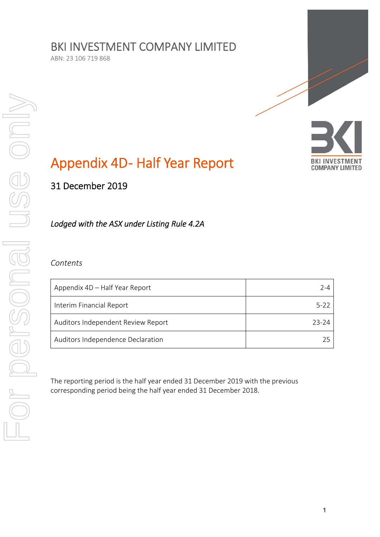# BKI INVESTMENT COMPANY LIMITED

ABN: 23 106 719 868



# Appendix 4D- Half Year Report

31 December 2019

*Lodged with the ASX under Listing Rule 4.2A* 

# *Contents*

| Appendix 4D – Half Year Report     | 2-4   |
|------------------------------------|-------|
| Interim Financial Report           | 5-22  |
| Auditors Independent Review Report | 23-24 |
| Auditors Independence Declaration  |       |

The reporting period is the half year ended 31 December 2019 with the previous corresponding period being the half year ended 31 December 2018.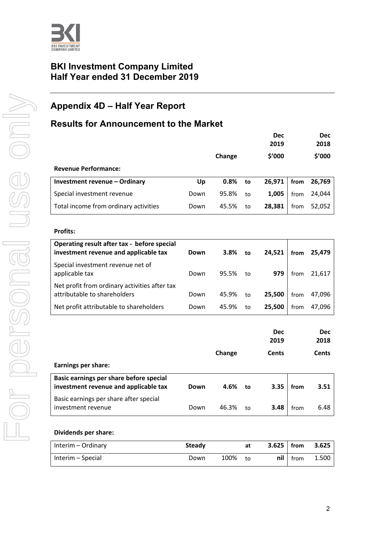

# **BKI Investment Company Limited Half Year ended 31 December 2019**

# **Appendix 4D – Half Year Report**

# **Results for Announcement to the Market**

|                                       |      |        |    | <b>Dec</b><br>2019 |      | <b>Dec</b><br>2018 |
|---------------------------------------|------|--------|----|--------------------|------|--------------------|
|                                       |      | Change |    | \$'000             |      | \$'000             |
| <b>Revenue Performance:</b>           |      |        |    |                    |      |                    |
| Investment revenue - Ordinary         | Up   | 0.8%   | to | 26,971             | from | 26,769             |
| Special investment revenue            | Down | 95.8%  | to | 1,005              | from | 24,044             |
| Total income from ordinary activities | Down | 45.5%  | to | 28,381             | from | 52,052             |

#### **Profits:**

| Operating result after tax - before special<br>investment revenue and applicable tax | Down | 3.8%  | to | 24.521 | from | 25,479 |
|--------------------------------------------------------------------------------------|------|-------|----|--------|------|--------|
| Special investment revenue net of<br>applicable tax                                  | Down | 95.5% | to | 979    | from | 21,617 |
| Net profit from ordinary activities after tax<br>attributable to shareholders        | Down | 45.9% | to | 25,500 | from | 47.096 |
| Net profit attributable to shareholders                                              | Down | 45.9% | to | 25.500 | from | 47.096 |

|                                                                                  |      |        |    | <b>Dec</b><br>2019 |      | <b>Dec</b><br>2018 |
|----------------------------------------------------------------------------------|------|--------|----|--------------------|------|--------------------|
|                                                                                  |      | Change |    | Cents              |      | Cents              |
| Earnings per share:                                                              |      |        |    |                    |      |                    |
| Basic earnings per share before special<br>investment revenue and applicable tax | Down | 4.6%   | to | 3.35               | from | 3.51               |
| Basic earnings per share after special<br>investment revenue                     | Down | 46.3%  | to | 3.48               | from | 6.48               |

#### **Dividends per share:**

| Interim – Ordinary | Steady |      | at | $3.625$ from |      | 3.625 |
|--------------------|--------|------|----|--------------|------|-------|
| Interim – Special  | Down   | 100% | to | nil          | from | 1.500 |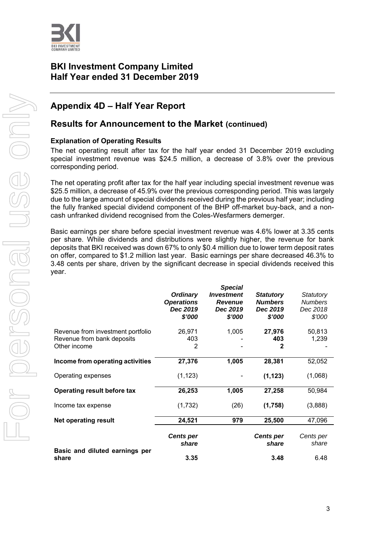

# **BKI Investment Company Limited Half Year ended 31 December 2019**

# **Appendix 4D – Half Year Report**

# **Results for Announcement to the Market (continued)**

### **Explanation of Operating Results**

The net operating result after tax for the half year ended 31 December 2019 excluding special investment revenue was \$24.5 million, a decrease of 3.8% over the previous corresponding period.

The net operating profit after tax for the half year including special investment revenue was \$25.5 million, a decrease of 45.9% over the previous corresponding period. This was largely due to the large amount of special dividends received during the previous half year; including the fully franked special dividend component of the BHP off-market buy-back, and a noncash unfranked dividend recognised from the Coles-Wesfarmers demerger.

Basic earnings per share before special investment revenue was 4.6% lower at 3.35 cents per share. While dividends and distributions were slightly higher, the revenue for bank deposits that BKI received was down 67% to only \$0.4 million due to lower term deposit rates on offer, compared to \$1.2 million last year. Basic earnings per share decreased 46.3% to 3.48 cents per share, driven by the significant decrease in special dividends received this year.

|                                                                                 | <b>Ordinary</b><br><b>Operations</b><br>Dec 2019<br>\$'000 | <b>Special</b><br><b>Investment</b><br><b>Revenue</b><br>Dec 2019<br>\$'000 | <b>Statutory</b><br><b>Numbers</b><br>Dec 2019<br>\$'000 | Statutory<br><b>Numbers</b><br>Dec 2018<br>\$'000 |
|---------------------------------------------------------------------------------|------------------------------------------------------------|-----------------------------------------------------------------------------|----------------------------------------------------------|---------------------------------------------------|
| Revenue from investment portfolio<br>Revenue from bank deposits<br>Other income | 26,971<br>403<br>2                                         | 1,005                                                                       | 27,976<br>403<br>2                                       | 50,813<br>1,239                                   |
| Income from operating activities                                                | 27,376                                                     | 1,005                                                                       | 28,381                                                   | 52,052                                            |
| Operating expenses                                                              | (1, 123)                                                   |                                                                             | (1, 123)                                                 | (1,068)                                           |
| Operating result before tax                                                     | 26,253                                                     | 1,005                                                                       | 27,258                                                   | 50,984                                            |
| Income tax expense                                                              | (1,732)                                                    | (26)                                                                        | (1,758)                                                  | (3,888)                                           |
| <b>Net operating result</b>                                                     | 24,521                                                     | 979                                                                         | 25,500                                                   | 47,096                                            |
| Basic and diluted earnings per                                                  | <b>Cents per</b><br>share                                  |                                                                             | <b>Cents per</b><br>share                                | Cents per<br>share                                |
| share                                                                           | 3.35                                                       |                                                                             | 3.48                                                     | 6.48                                              |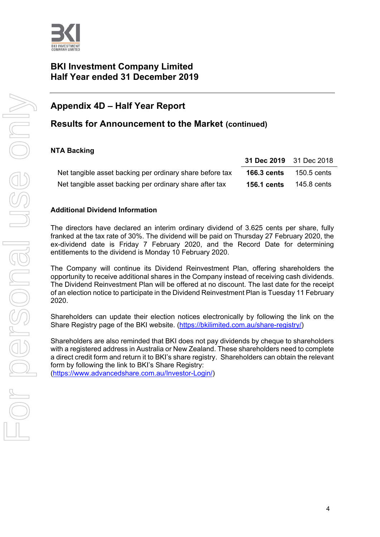

# **BKI Investment Company Limited Half Year ended 31 December 2019**

# **Appendix 4D – Half Year Report**

# **Results for Announcement to the Market (continued)**

# **NTA Backing**

|                                                          | 31 Dec 2019 31 Dec 2018 |             |
|----------------------------------------------------------|-------------------------|-------------|
| Net tangible asset backing per ordinary share before tax | <b>166.3 cents</b>      | 150.5 cents |
| Net tangible asset backing per ordinary share after tax  | <b>156.1 cents</b>      | 145.8 cents |

### **Additional Dividend Information**

The directors have declared an interim ordinary dividend of 3.625 cents per share, fully franked at the tax rate of 30%. The dividend will be paid on Thursday 27 February 2020, the ex-dividend date is Friday 7 February 2020, and the Record Date for determining entitlements to the dividend is Monday 10 February 2020.

The Company will continue its Dividend Reinvestment Plan, offering shareholders the opportunity to receive additional shares in the Company instead of receiving cash dividends. The Dividend Reinvestment Plan will be offered at no discount. The last date for the receipt of an election notice to participate in the Dividend Reinvestment Plan is Tuesday 11 February 2020.

Shareholders can update their election notices electronically by following the link on the Share Registry page of the BKI website. (https://bkilimited.com.au/share-registry/)

Shareholders are also reminded that BKI does not pay dividends by cheque to shareholders with a registered address in Australia or New Zealand. These shareholders need to complete a direct credit form and return it to BKI's share registry. Shareholders can obtain the relevant form by following the link to BKI's Share Registry:

(https://www.advancedshare.com.au/Investor-Login/)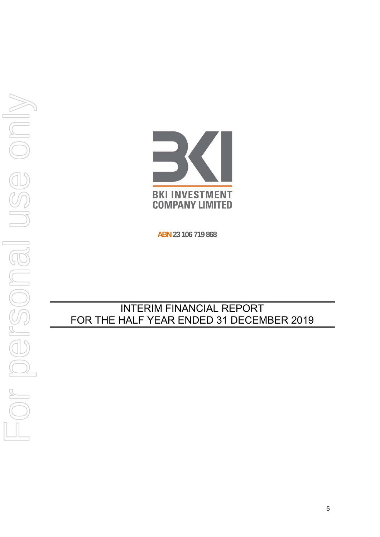

**ABN 23 106 719 868**

# INTERIM FINANCIAL REPORT FOR THE HALF YEAR ENDED 31 DECEMBER 2019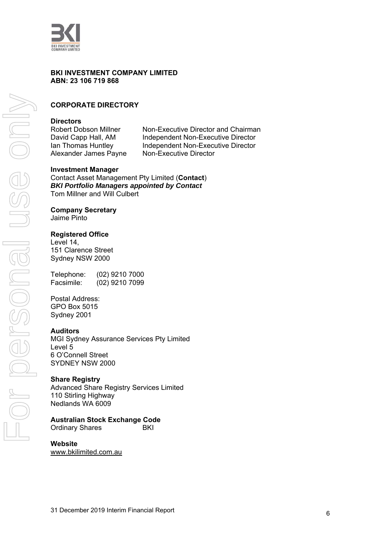

#### **BKI INVESTMENT COMPANY LIMITED ABN: 23 106 719 868**

# **CORPORATE DIRECTORY**

#### **Directors**

Robert Dobson Millner Non-Executive Director and Chairman David Capp Hall, AM Independent Non-Executive Director Ian Thomas Huntley Independent Non-Executive Director Alexander James Payne Non-Executive Director

#### **Investment Manager**

Contact Asset Management Pty Limited (**Contact**) *BKI Portfolio Managers appointed by Contact*  Tom Millner and Will Culbert

#### **Company Secretary**

Jaime Pinto

#### **Registered Office**

Level 14, 151 Clarence Street Sydney NSW 2000

Telephone: (02) 9210 7000 Facsimile: (02) 9210 7099

Postal Address: GPO Box 5015 Sydney 2001

#### **Auditors**

MGI Sydney Assurance Services Pty Limited Level 5 6 O'Connell Street SYDNEY NSW 2000

#### **Share Registry**

Advanced Share Registry Services Limited 110 Stirling Highway Nedlands WA 6009

#### **Australian Stock Exchange Code**

Ordinary Shares **BKI** 

#### **Website**

www.bkilimited.com.au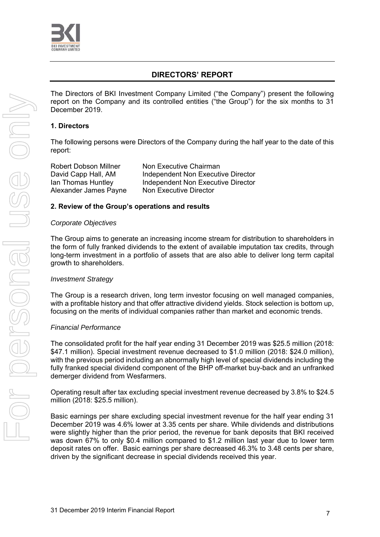

# **DIRECTORS' REPORT**

The Directors of BKI Investment Company Limited ("the Company") present the following report on the Company and its controlled entities ("the Group") for the six months to 31 December 2019.

#### **1. Directors**

The following persons were Directors of the Company during the half year to the date of this report:

Alexander James Payne Non Executive Director

Robert Dobson Millner Non Executive Chairman David Capp Hall, AM Independent Non Executive Director Ian Thomas Huntley **Independent Non Executive Director** 

#### **2. Review of the Group's operations and results**

#### *Corporate Objectives*

The Group aims to generate an increasing income stream for distribution to shareholders in the form of fully franked dividends to the extent of available imputation tax credits, through long-term investment in a portfolio of assets that are also able to deliver long term capital growth to shareholders.

#### *Investment Strategy*

The Group is a research driven, long term investor focusing on well managed companies, with a profitable history and that offer attractive dividend yields. Stock selection is bottom up, focusing on the merits of individual companies rather than market and economic trends.

#### *Financial Performance*

The consolidated profit for the half year ending 31 December 2019 was \$25.5 million (2018: \$47.1 million). Special investment revenue decreased to \$1.0 million (2018: \$24.0 million), with the previous period including an abnormally high level of special dividends including the fully franked special dividend component of the BHP off-market buy-back and an unfranked demerger dividend from Wesfarmers.

Operating result after tax excluding special investment revenue decreased by 3.8% to \$24.5 million (2018: \$25.5 million).

Basic earnings per share excluding special investment revenue for the half year ending 31 December 2019 was 4.6% lower at 3.35 cents per share. While dividends and distributions were slightly higher than the prior period, the revenue for bank deposits that BKI received was down 67% to only \$0.4 million compared to \$1.2 million last year due to lower term deposit rates on offer. Basic earnings per share decreased 46.3% to 3.48 cents per share, driven by the significant decrease in special dividends received this year.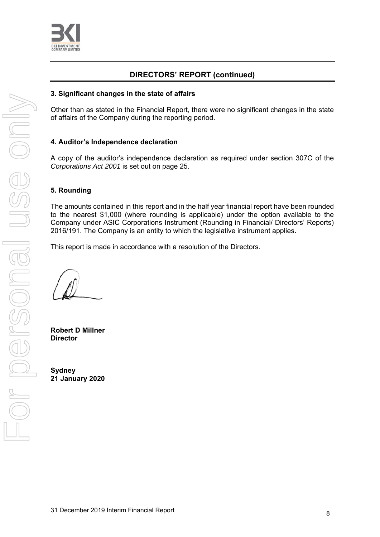

# **DIRECTORS' REPORT (continued)**

#### **3. Significant changes in the state of affairs**

Other than as stated in the Financial Report, there were no significant changes in the state of affairs of the Company during the reporting period.

#### **4. Auditor's Independence declaration**

A copy of the auditor's independence declaration as required under section 307C of the *Corporations Act 2001* is set out on page 25.

### **5. Rounding**

The amounts contained in this report and in the half year financial report have been rounded to the nearest \$1,000 (where rounding is applicable) under the option available to the Company under ASIC Corporations Instrument (Rounding in Financial/ Directors' Reports) 2016/191. The Company is an entity to which the legislative instrument applies.

This report is made in accordance with a resolution of the Directors.

**Robert D Millner Director** 

**Sydney 21 January 2020**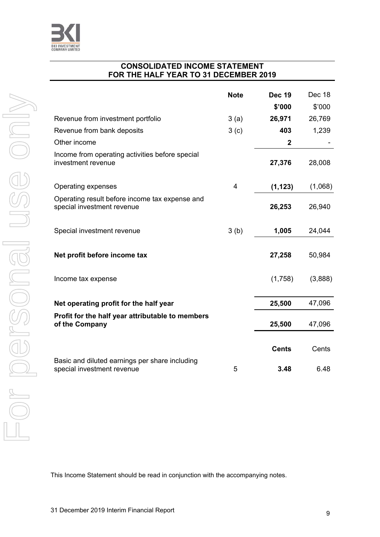

# **CONSOLIDATED INCOME STATEMENT FOR THE HALF YEAR TO 31 DECEMBER 2019**

|                                                                              | <b>Note</b>      | <b>Dec 19</b>  | Dec 18  |
|------------------------------------------------------------------------------|------------------|----------------|---------|
|                                                                              |                  | \$'000         | \$'000  |
| Revenue from investment portfolio                                            | 3(a)             | 26,971         | 26,769  |
| Revenue from bank deposits                                                   | 3 <sub>(c)</sub> | 403            | 1,239   |
| Other income                                                                 |                  | $\overline{2}$ |         |
| Income from operating activities before special<br>investment revenue        |                  | 27,376         | 28,008  |
| Operating expenses                                                           | 4                | (1, 123)       | (1,068) |
| Operating result before income tax expense and<br>special investment revenue |                  | 26,253         | 26,940  |
| Special investment revenue                                                   | 3(b)             | 1,005          | 24,044  |
| Net profit before income tax                                                 |                  | 27,258         | 50,984  |
| Income tax expense                                                           |                  | (1,758)        | (3,888) |
| Net operating profit for the half year                                       |                  | 25,500         | 47,096  |
| Profit for the half year attributable to members<br>of the Company           |                  | 25,500         | 47,096  |
|                                                                              |                  | <b>Cents</b>   | Cents   |
| Basic and diluted earnings per share including<br>special investment revenue | 5                | 3.48           | 6.48    |

This Income Statement should be read in conjunction with the accompanying notes.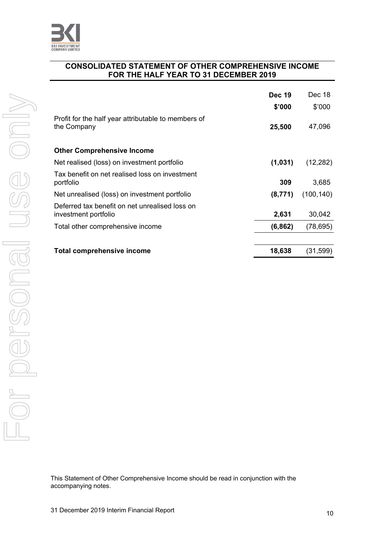

# **CONSOLIDATED STATEMENT OF OTHER COMPREHENSIVE INCOME FOR THE HALF YEAR TO 31 DECEMBER 2019**

|                                                                        | <b>Dec 19</b> | Dec 18     |
|------------------------------------------------------------------------|---------------|------------|
|                                                                        | \$'000        | \$'000     |
| Profit for the half year attributable to members of<br>the Company     | 25,500        | 47,096     |
| <b>Other Comprehensive Income</b>                                      |               |            |
| Net realised (loss) on investment portfolio                            | (1,031)       | (12, 282)  |
| Tax benefit on net realised loss on investment<br>portfolio            | 309           | 3,685      |
| Net unrealised (loss) on investment portfolio                          | (8,771)       | (100, 140) |
| Deferred tax benefit on net unrealised loss on<br>investment portfolio | 2,631         | 30,042     |
| Total other comprehensive income                                       | (6, 862)      | (78, 695)  |
|                                                                        |               |            |
| Total comprehensive income                                             | 18,638        | (31, 599)  |

For personal use only Forersonal use only

> This Statement of Other Comprehensive Income should be read in conjunction with the accompanying notes.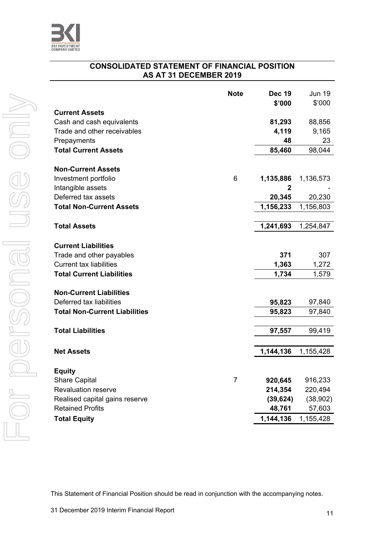

# **CONSOLIDATED STATEMENT OF FINANCIAL POSITION AS AT 31 DECEMBER 2019**

|                                      | <b>Note</b>    | <b>Dec 19</b><br>\$'000 | <b>Jun 19</b><br>\$'000 |
|--------------------------------------|----------------|-------------------------|-------------------------|
| <b>Current Assets</b>                |                |                         |                         |
| Cash and cash equivalents            |                | 81,293                  | 88,856                  |
| Trade and other receivables          |                | 4,119                   | 9,165                   |
| Prepayments                          |                | 48                      | 23                      |
| <b>Total Current Assets</b>          |                | 85,460                  | 98,044                  |
|                                      |                |                         |                         |
| <b>Non-Current Assets</b>            |                |                         |                         |
| Investment portfolio                 | 6              | 1,135,886               | 1,136,573               |
| Intangible assets                    |                | 2                       |                         |
| Deferred tax assets                  |                | 20,345                  | 20,230                  |
| <b>Total Non-Current Assets</b>      |                | 1,156,233               | 1,156,803               |
|                                      |                |                         |                         |
| <b>Total Assets</b>                  |                | 1,241,693               | 1,254,847               |
| <b>Current Liabilities</b>           |                |                         |                         |
| Trade and other payables             |                | 371                     | 307                     |
| <b>Current tax liabilities</b>       |                | 1,363                   | 1,272                   |
| <b>Total Current Liabilities</b>     |                | 1,734                   | 1,579                   |
|                                      |                |                         |                         |
| <b>Non-Current Liabilities</b>       |                |                         |                         |
| Deferred tax liabilities             |                | 95,823                  | 97,840                  |
| <b>Total Non-Current Liabilities</b> |                | 95,823                  | 97,840                  |
|                                      |                |                         |                         |
| <b>Total Liabilities</b>             |                | 97,557                  | 99,419                  |
|                                      |                |                         |                         |
| <b>Net Assets</b>                    |                | 1,144,136               | 1,155,428               |
|                                      |                |                         |                         |
| <b>Equity</b>                        |                |                         |                         |
| <b>Share Capital</b>                 | $\overline{7}$ | 920,645                 | 916,233                 |
| <b>Revaluation reserve</b>           |                | 214,354                 | 220,494                 |
| Realised capital gains reserve       |                | (39, 624)               | (38,902)                |
| <b>Retained Profits</b>              |                | 48,761                  | 57,603                  |
| <b>Total Equity</b>                  |                | 1,144,136               | 1,155,428               |

This Statement of Financial Position should be read in conjunction with the accompanying notes.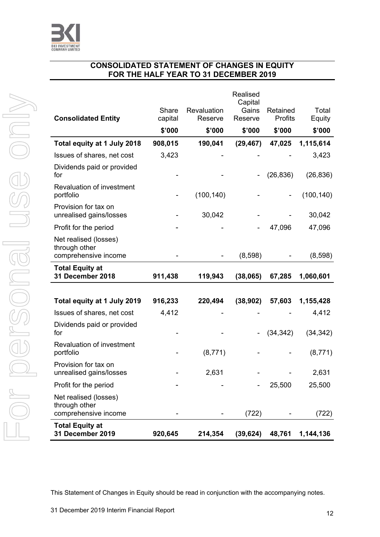

For personal use only

Forersonal use only

# **CONSOLIDATED STATEMENT OF CHANGES IN EQUITY FOR THE HALF YEAR TO 31 DECEMBER 2019**

| <b>Total Equity at</b><br>31 December 2019                     | 920,645          | 214,354                | (39, 624)           | 48,761              | 1,144,136       |
|----------------------------------------------------------------|------------------|------------------------|---------------------|---------------------|-----------------|
| Net realised (losses)<br>through other<br>comprehensive income |                  |                        | (722)               |                     | (722)           |
| Profit for the period                                          |                  |                        |                     | 25,500              | 25,500          |
| Provision for tax on<br>unrealised gains/losses                |                  | 2,631                  |                     |                     | 2,631           |
| Revaluation of investment<br>portfolio                         |                  | (8,771)                |                     |                     | (8,771)         |
| Dividends paid or provided<br>for                              |                  |                        |                     | (34, 342)           | (34, 342)       |
| Issues of shares, net cost                                     | 4,412            |                        |                     |                     | 4,412           |
| Total equity at 1 July 2019                                    | 916,233          | 220,494                | (38, 902)           | 57,603              | 1,155,428       |
| <b>Total Equity at</b><br>31 December 2018                     | 911,438          | 119,943                | (38,065)            | 67,285              | 1,060,601       |
| Net realised (losses)<br>through other<br>comprehensive income |                  |                        | (8,598)             |                     | (8,598)         |
| Profit for the period                                          |                  |                        |                     | 47,096              | 47,096          |
| Provision for tax on<br>unrealised gains/losses                |                  | 30,042                 |                     |                     | 30,042          |
| Revaluation of investment<br>portfolio                         |                  | (100, 140)             |                     |                     | (100, 140)      |
| Dividends paid or provided<br>for                              |                  |                        |                     | (26, 836)           | (26, 836)       |
| Issues of shares, net cost                                     | 3,423            |                        |                     |                     | 3,423           |
| Total equity at 1 July 2018                                    | 908,015          | 190,041                | (29, 467)           | 47,025              | 1,115,614       |
|                                                                | \$'000           | \$'000                 | \$'000              | \$'000              | \$'000          |
| <b>Consolidated Entity</b>                                     | Share<br>capital | Revaluation<br>Reserve | Gains<br>Reserve    | Retained<br>Profits | Total<br>Equity |
|                                                                |                  |                        | Realised<br>Capital |                     |                 |

This Statement of Changes in Equity should be read in conjunction with the accompanying notes.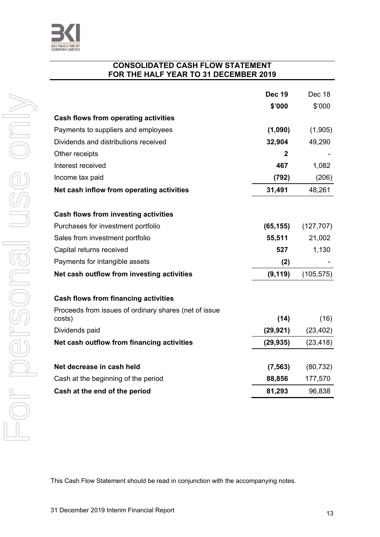

### **CONSOLIDATED CASH FLOW STATEMENT FOR THE HALF YEAR TO 31 DECEMBER 2019**

|                                                       | <b>Dec 19</b> | Dec 18     |
|-------------------------------------------------------|---------------|------------|
|                                                       | \$'000        | \$'000     |
| <b>Cash flows from operating activities</b>           |               |            |
| Payments to suppliers and employees                   | (1,090)       | (1,905)    |
| Dividends and distributions received                  | 32,904        | 49,290     |
| Other receipts                                        | 2             |            |
| Interest received                                     | 467           | 1,082      |
| Income tax paid                                       | (792)         | (206)      |
| Net cash inflow from operating activities             | 31,491        | 48,261     |
| Cash flows from investing activities                  |               |            |
| Purchases for investment portfolio                    | (65, 155)     | (127, 707) |
| Sales from investment portfolio                       | 55,511        | 21,002     |
| Capital returns received                              | 527           | 1,130      |
| Payments for intangible assets                        | (2)           |            |
| Net cash outflow from investing activities            | (9, 119)      | (105, 575) |
| Cash flows from financing activities                  |               |            |
| Proceeds from issues of ordinary shares (net of issue |               |            |
| costs)                                                | (14)          | (16)       |
| Dividends paid                                        | (29, 921)     | (23, 402)  |
| Net cash outflow from financing activities            | (29, 935)     | (23, 418)  |
| Net decrease in cash held                             | (7, 563)      | (80, 732)  |
| Cash at the beginning of the period                   | 88,856        | 177,570    |
| Cash at the end of the period                         | 81,293        | 96,838     |

This Cash Flow Statement should be read in conjunction with the accompanying notes.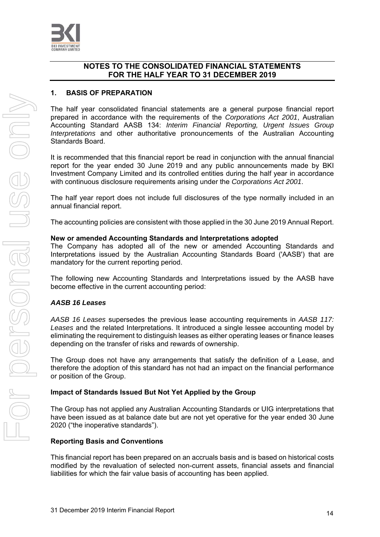

### **1. BASIS OF PREPARATION**

The half year consolidated financial statements are a general purpose financial report prepared in accordance with the requirements of the *Corporations Act 2001*, Australian Accounting Standard AASB 134: *Interim Financial Reporting, Urgent Issues Group Interpretations* and other authoritative pronouncements of the Australian Accounting Standards Board.

It is recommended that this financial report be read in conjunction with the annual financial report for the year ended 30 June 2019 and any public announcements made by BKI Investment Company Limited and its controlled entities during the half year in accordance with continuous disclosure requirements arising under the *Corporations Act 2001*.

The half year report does not include full disclosures of the type normally included in an annual financial report.

The accounting policies are consistent with those applied in the 30 June 2019 Annual Report.

#### **New or amended Accounting Standards and Interpretations adopted**

The Company has adopted all of the new or amended Accounting Standards and Interpretations issued by the Australian Accounting Standards Board ('AASB') that are mandatory for the current reporting period.

The following new Accounting Standards and Interpretations issued by the AASB have become effective in the current accounting period:

#### *AASB 16 Leases*

*AASB 16 Leases* supersedes the previous lease accounting requirements in *AASB 117: Leases* and the related Interpretations. It introduced a single lessee accounting model by eliminating the requirement to distinguish leases as either operating leases or finance leases depending on the transfer of risks and rewards of ownership.

The Group does not have any arrangements that satisfy the definition of a Lease, and therefore the adoption of this standard has not had an impact on the financial performance or position of the Group.

#### **Impact of Standards Issued But Not Yet Applied by the Group**

The Group has not applied any Australian Accounting Standards or UIG interpretations that have been issued as at balance date but are not yet operative for the year ended 30 June 2020 ("the inoperative standards").

#### **Reporting Basis and Conventions**

This financial report has been prepared on an accruals basis and is based on historical costs modified by the revaluation of selected non-current assets, financial assets and financial liabilities for which the fair value basis of accounting has been applied.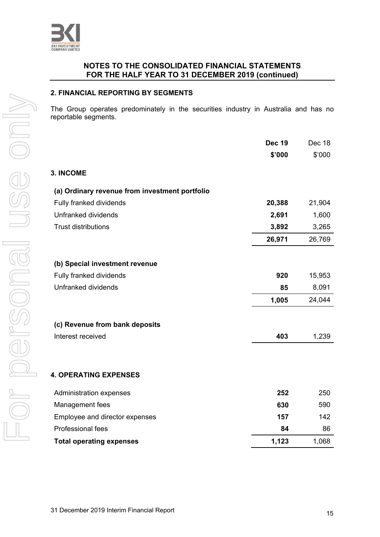

#### **2. FINANCIAL REPORTING BY SEGMENTS**

The Group operates predominately in the securities industry in Australia and has no reportable segments.

|                                                | <b>Dec 19</b> | Dec 18 |
|------------------------------------------------|---------------|--------|
|                                                | \$'000        | \$'000 |
| 3. INCOME                                      |               |        |
| (a) Ordinary revenue from investment portfolio |               |        |
| Fully franked dividends                        | 20,388        | 21,904 |
| Unfranked dividends                            | 2,691         | 1,600  |
| <b>Trust distributions</b>                     | 3,892         | 3,265  |
|                                                | 26,971        | 26,769 |
| (b) Special investment revenue                 |               |        |
| Fully franked dividends                        | 920           | 15,953 |
| Unfranked dividends                            | 85            | 8,091  |
|                                                | 1,005         | 24,044 |
| (c) Revenue from bank deposits                 |               |        |
| Interest received                              | 403           | 1,239  |
|                                                |               |        |
| <b>4. OPERATING EXPENSES</b>                   |               |        |
| Administration expenses                        | 252           | 250    |
| Management fees                                | 630           | 590    |
| Employee and director expenses                 | 157           | 142    |
| Professional fees                              | 84            | 86     |
| <b>Total operating expenses</b>                | 1,123         | 1,068  |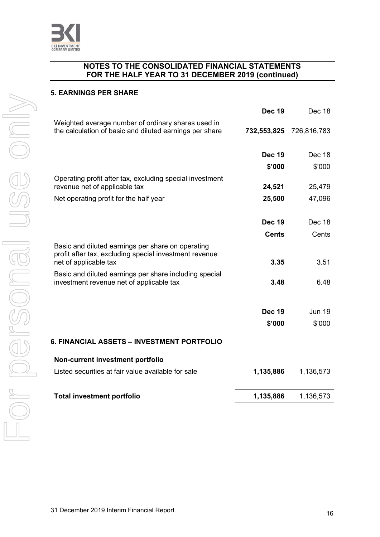

#### **5. EARNINGS PER SHARE**

|                                                                                                                                      | <b>Dec 19</b> | Dec 18        |
|--------------------------------------------------------------------------------------------------------------------------------------|---------------|---------------|
| Weighted average number of ordinary shares used in<br>the calculation of basic and diluted earnings per share                        | 732,553,825   | 726,816,783   |
|                                                                                                                                      | <b>Dec 19</b> | Dec 18        |
|                                                                                                                                      | \$'000        | \$'000        |
| Operating profit after tax, excluding special investment<br>revenue net of applicable tax                                            | 24,521        | 25,479        |
| Net operating profit for the half year                                                                                               | 25,500        | 47,096        |
|                                                                                                                                      |               |               |
|                                                                                                                                      | <b>Dec 19</b> | Dec 18        |
|                                                                                                                                      | <b>Cents</b>  | Cents         |
| Basic and diluted earnings per share on operating<br>profit after tax, excluding special investment revenue<br>net of applicable tax | 3.35          | 3.51          |
| Basic and diluted earnings per share including special                                                                               |               |               |
| investment revenue net of applicable tax                                                                                             | 3.48          | 6.48          |
|                                                                                                                                      |               |               |
|                                                                                                                                      | <b>Dec 19</b> | <b>Jun 19</b> |
|                                                                                                                                      | \$'000        | \$'000        |
| <b>6. FINANCIAL ASSETS - INVESTMENT PORTFOLIO</b>                                                                                    |               |               |
| Non-current investment portfolio                                                                                                     |               |               |
| Listed securities at fair value available for sale                                                                                   | 1,135,886     | 1,136,573     |
| <b>Total investment portfolio</b>                                                                                                    | 1,135,886     | 1,136,573     |
|                                                                                                                                      |               |               |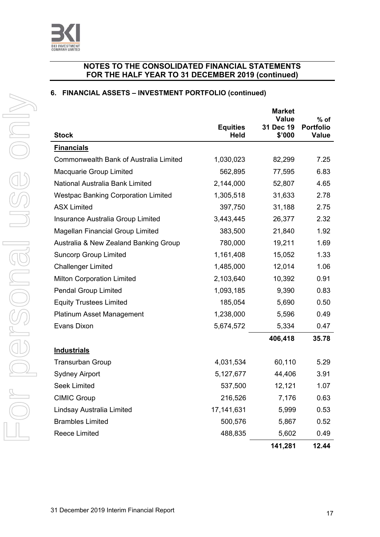

# **6. FINANCIAL ASSETS – INVESTMENT PORTFOLIO (continued)**

|                                            |                                | <b>Market</b><br><b>Value</b> | $%$ of                           |
|--------------------------------------------|--------------------------------|-------------------------------|----------------------------------|
| <b>Stock</b>                               | <b>Equities</b><br><b>Held</b> | 31 Dec 19<br>\$'000           | <b>Portfolio</b><br><b>Value</b> |
| <b>Financials</b>                          |                                |                               |                                  |
| Commonwealth Bank of Australia Limited     | 1,030,023                      | 82,299                        | 7.25                             |
| Macquarie Group Limited                    | 562,895                        | 77,595                        | 6.83                             |
| National Australia Bank Limited            | 2,144,000                      | 52,807                        | 4.65                             |
| <b>Westpac Banking Corporation Limited</b> | 1,305,518                      | 31,633                        | 2.78                             |
| <b>ASX Limited</b>                         | 397,750                        | 31,188                        | 2.75                             |
| Insurance Australia Group Limited          | 3,443,445                      | 26,377                        | 2.32                             |
| Magellan Financial Group Limited           | 383,500                        | 21,840                        | 1.92                             |
| Australia & New Zealand Banking Group      | 780,000                        | 19,211                        | 1.69                             |
| <b>Suncorp Group Limited</b>               | 1,161,408                      | 15,052                        | 1.33                             |
| <b>Challenger Limited</b>                  | 1,485,000                      | 12,014                        | 1.06                             |
| <b>Milton Corporation Limited</b>          | 2,103,640                      | 10,392                        | 0.91                             |
| <b>Pendal Group Limited</b>                | 1,093,185                      | 9,390                         | 0.83                             |
| <b>Equity Trustees Limited</b>             | 185,054                        | 5,690                         | 0.50                             |
| <b>Platinum Asset Management</b>           | 1,238,000                      | 5,596                         | 0.49                             |
| Evans Dixon                                | 5,674,572                      | 5,334                         | 0.47                             |
|                                            |                                | 406,418                       | 35.78                            |
| <b>Industrials</b>                         |                                |                               |                                  |
| <b>Transurban Group</b>                    | 4,031,534                      | 60,110                        | 5.29                             |
| <b>Sydney Airport</b>                      | 5,127,677                      | 44,406                        | 3.91                             |
| <b>Seek Limited</b>                        | 537,500                        | 12,121                        | 1.07                             |
| <b>CIMIC Group</b>                         | 216,526                        | 7,176                         | 0.63                             |
| Lindsay Australia Limited                  | 17, 141, 631                   | 5,999                         | 0.53                             |
| <b>Brambles Limited</b>                    | 500,576                        | 5,867                         | 0.52                             |
| Reece Limited                              | 488,835                        | 5,602                         | 0.49                             |
|                                            |                                | 141,281                       | 12.44                            |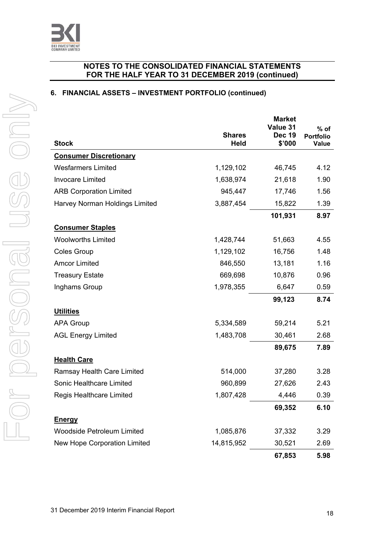

# **6. FINANCIAL ASSETS – INVESTMENT PORTFOLIO (continued)**

| <b>Stock</b>                      | <b>Shares</b><br><b>Held</b> | <b>Market</b><br>Value 31<br><b>Dec 19</b><br>\$'000 | $%$ of<br><b>Portfolio</b><br><b>Value</b> |
|-----------------------------------|------------------------------|------------------------------------------------------|--------------------------------------------|
| <b>Consumer Discretionary</b>     |                              |                                                      |                                            |
| <b>Wesfarmers Limited</b>         | 1,129,102                    | 46,745                                               | 4.12                                       |
| <b>Invocare Limited</b>           | 1,638,974                    | 21,618                                               | 1.90                                       |
| <b>ARB Corporation Limited</b>    | 945,447                      | 17,746                                               | 1.56                                       |
| Harvey Norman Holdings Limited    | 3,887,454                    | 15,822                                               | 1.39                                       |
|                                   |                              | 101,931                                              | 8.97                                       |
| <b>Consumer Staples</b>           |                              |                                                      |                                            |
| <b>Woolworths Limited</b>         | 1,428,744                    | 51,663                                               | 4.55                                       |
| <b>Coles Group</b>                | 1,129,102                    | 16,756                                               | 1.48                                       |
| <b>Amcor Limited</b>              | 846,550                      | 13,181                                               | 1.16                                       |
| <b>Treasury Estate</b>            | 669,698                      | 10,876                                               | 0.96                                       |
| Inghams Group                     | 1,978,355                    | 6,647                                                | 0.59                                       |
|                                   |                              | 99,123                                               | 8.74                                       |
| <b>Utilities</b>                  |                              |                                                      |                                            |
| <b>APA Group</b>                  | 5,334,589                    | 59,214                                               | 5.21                                       |
| <b>AGL Energy Limited</b>         | 1,483,708                    | 30,461                                               | 2.68                                       |
|                                   |                              | 89,675                                               | 7.89                                       |
| <b>Health Care</b>                |                              |                                                      |                                            |
| Ramsay Health Care Limited        | 514,000                      | 37,280                                               | 3.28                                       |
| Sonic Healthcare Limited          | 960,899                      | 27,626                                               | 2.43                                       |
| Regis Healthcare Limited          | 1,807,428                    | 4,446                                                | 0.39                                       |
|                                   |                              | 69,352                                               | 6.10                                       |
| <b>Energy</b>                     |                              |                                                      |                                            |
| <b>Woodside Petroleum Limited</b> | 1,085,876                    | 37,332                                               | 3.29                                       |
| New Hope Corporation Limited      | 14,815,952                   | 30,521                                               | 2.69                                       |
|                                   |                              | 67,853                                               | 5.98                                       |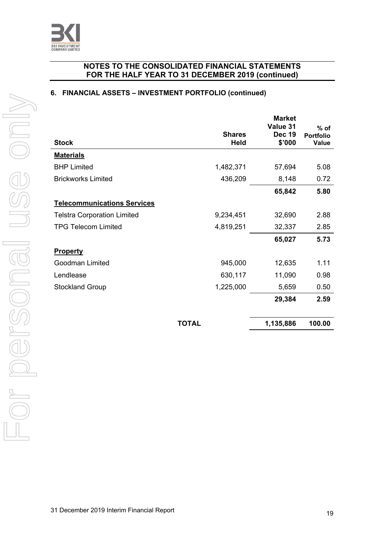

### **6. FINANCIAL ASSETS – INVESTMENT PORTFOLIO (continued)**

| <b>Stock</b>                       | <b>Shares</b><br><b>Held</b> | <b>Market</b><br>Value 31<br><b>Dec 19</b><br>\$'000 | $%$ of<br><b>Portfolio</b><br><b>Value</b> |
|------------------------------------|------------------------------|------------------------------------------------------|--------------------------------------------|
| <b>Materials</b>                   |                              |                                                      |                                            |
| <b>BHP Limited</b>                 | 1,482,371                    | 57,694                                               | 5.08                                       |
| <b>Brickworks Limited</b>          | 436,209                      | 8,148                                                | 0.72                                       |
|                                    |                              | 65,842                                               | 5.80                                       |
| <b>Telecommunications Services</b> |                              |                                                      |                                            |
| <b>Telstra Corporation Limited</b> | 9,234,451                    | 32,690                                               | 2.88                                       |
| <b>TPG Telecom Limited</b>         | 4,819,251                    | 32,337                                               | 2.85                                       |
|                                    |                              | 65,027                                               | 5.73                                       |
| <b>Property</b>                    |                              |                                                      |                                            |
| Goodman Limited                    | 945,000                      | 12,635                                               | 1.11                                       |
| Lendlease                          | 630,117                      | 11,090                                               | 0.98                                       |
| <b>Stockland Group</b>             | 1,225,000                    | 5,659                                                | 0.50                                       |
|                                    |                              | 29,384                                               | 2.59                                       |
|                                    | <b>TOTAL</b>                 | 1,135,886                                            | 100.00                                     |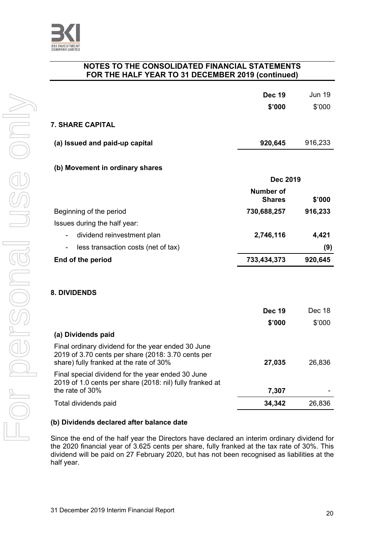

|                                                                                                                                                     | <b>Dec 19</b><br>\$'000           | <b>Jun 19</b><br>\$'000 |
|-----------------------------------------------------------------------------------------------------------------------------------------------------|-----------------------------------|-------------------------|
| <b>7. SHARE CAPITAL</b>                                                                                                                             |                                   |                         |
| (a) Issued and paid-up capital                                                                                                                      | 920,645                           | 916,233                 |
| (b) Movement in ordinary shares                                                                                                                     |                                   |                         |
|                                                                                                                                                     | <b>Dec 2019</b>                   |                         |
|                                                                                                                                                     | <b>Number of</b><br><b>Shares</b> | \$'000                  |
| Beginning of the period                                                                                                                             | 730,688,257                       | 916,233                 |
| Issues during the half year:                                                                                                                        |                                   |                         |
| dividend reinvestment plan                                                                                                                          | 2,746,116                         | 4,421                   |
| less transaction costs (net of tax)                                                                                                                 |                                   | (9)                     |
| End of the period                                                                                                                                   | 733,434,373                       | 920,645                 |
|                                                                                                                                                     |                                   |                         |
| <b>8. DIVIDENDS</b>                                                                                                                                 |                                   |                         |
|                                                                                                                                                     | <b>Dec 19</b>                     | Dec 18                  |
|                                                                                                                                                     | \$'000                            | \$'000                  |
| (a) Dividends paid                                                                                                                                  |                                   |                         |
| Final ordinary dividend for the year ended 30 June<br>2019 of 3.70 cents per share (2018: 3.70 cents per<br>share) fully franked at the rate of 30% | 27,035                            | 26,836                  |
| Final special dividend for the year ended 30 June<br>2019 of 1.0 cents per share (2018: nil) fully franked at<br>the rate of 30%                    | 7,307                             |                         |
| Total dividends paid                                                                                                                                | 34,342                            | 26,836                  |

# **(b) Dividends declared after balance date**

Since the end of the half year the Directors have declared an interim ordinary dividend for the 2020 financial year of 3.625 cents per share, fully franked at the tax rate of 30%. This dividend will be paid on 27 February 2020, but has not been recognised as liabilities at the half year.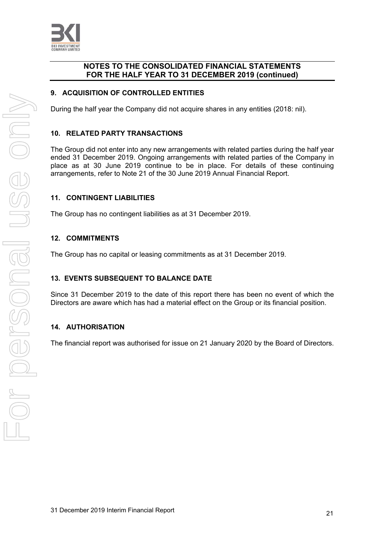

### **9. ACQUISITION OF CONTROLLED ENTITIES**

During the half year the Company did not acquire shares in any entities (2018: nil).

### **10. RELATED PARTY TRANSACTIONS**

The Group did not enter into any new arrangements with related parties during the half year ended 31 December 2019. Ongoing arrangements with related parties of the Company in place as at 30 June 2019 continue to be in place. For details of these continuing arrangements, refer to Note 21 of the 30 June 2019 Annual Financial Report.

#### **11. CONTINGENT LIABILITIES**

The Group has no contingent liabilities as at 31 December 2019.

#### **12. COMMITMENTS**

The Group has no capital or leasing commitments as at 31 December 2019.

#### **13. EVENTS SUBSEQUENT TO BALANCE DATE**

Since 31 December 2019 to the date of this report there has been no event of which the Directors are aware which has had a material effect on the Group or its financial position.

#### **14. AUTHORISATION**

The financial report was authorised for issue on 21 January 2020 by the Board of Directors.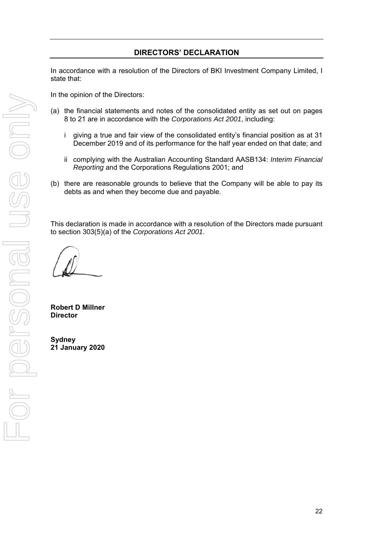# **DIRECTORS' DECLARATION**

In accordance with a resolution of the Directors of BKI Investment Company Limited, I state that:

In the opinion of the Directors:

- (a) the financial statements and notes of the consolidated entity as set out on pages 8 to 21 are in accordance with the *Corporations Act 2001*, including:
	- i giving a true and fair view of the consolidated entity's financial position as at 31 December 2019 and of its performance for the half year ended on that date; and
	- ii complying with the Australian Accounting Standard AASB134: *Interim Financial Reporting* and the Corporations Regulations 2001; and
- (b) there are reasonable grounds to believe that the Company will be able to pay its debts as and when they become due and payable.

This declaration is made in accordance with a resolution of the Directors made pursuant to section 303(5)(a) of the *Corporations Act 2001*.

**Robert D Millner Director** 

**Sydney 21 January 2020**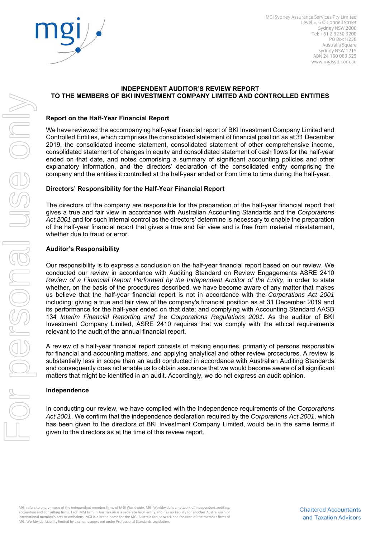

MGI Sydney Assurance Services Pty Limited Level 5, 6 O'Connell Street Sydney NSW 2000 Tel: +61 2 9230 9200 PO Box H258 Australia Square Sydney NSW 1215 ABN 24 160 063 525 www.mgisyd.com.au

#### **INDEPENDENT AUDITOR'S REVIEW REPORT TO THE MEMBERS OF BKI INVESTMENT COMPANY LIMITED AND CONTROLLED ENTITIES**

#### **Report on the Half-Year Financial Report**

We have reviewed the accompanying half-year financial report of BKI Investment Company Limited and Controlled Entities, which comprises the consolidated statement of financial position as at 31 December 2019, the consolidated income statement, consolidated statement of other comprehensive income, consolidated statement of changes in equity and consolidated statement of cash flows for the half-year ended on that date, and notes comprising a summary of significant accounting policies and other explanatory information, and the directors' declaration of the consolidated entity comprising the company and the entities it controlled at the half-year ended or from time to time during the half-year.

#### **Directors' Responsibility for the Half-Year Financial Report**

The directors of the company are responsible for the preparation of the half-year financial report that gives a true and fair view in accordance with Australian Accounting Standards and the *Corporations Act 2001* and for such internal control as the directors' determine is necessary to enable the preparation of the half-year financial report that gives a true and fair view and is free from material misstatement, whether due to fraud or error.

#### **Auditor's Responsibility**

Our responsibility is to express a conclusion on the half-year financial report based on our review. We conducted our review in accordance with Auditing Standard on Review Engagements ASRE 2410 *Review of a Financial Report Performed by the Independent Auditor of the Entity*, in order to state whether, on the basis of the procedures described, we have become aware of any matter that makes us believe that the half-year financial report is not in accordance with the *Corporations Act 2001* including: giving a true and fair view of the company's financial position as at 31 December 2019 and its performance for the half-year ended on that date; and complying with Accounting Standard AASB 134 *Interim Financial Reporting and* the *Corporations Regulations 2001*. As the auditor of BKI Investment Company Limited, ASRE 2410 requires that we comply with the ethical requirements relevant to the audit of the annual financial report.

A review of a half-year financial report consists of making enquiries, primarily of persons responsible for financial and accounting matters, and applying analytical and other review procedures. A review is substantially less in scope than an audit conducted in accordance with Australian Auditing Standards and consequently does not enable us to obtain assurance that we would become aware of all significant matters that might be identified in an audit. Accordingly, we do not express an audit opinion.

#### **Independence**

In conducting our review, we have complied with the independence requirements of the *Corporations Act 2001*. We confirm that the independence declaration required by the *Corporations Act 2001*, which has been given to the directors of BKI Investment Company Limited, would be in the same terms if given to the directors as at the time of this review report.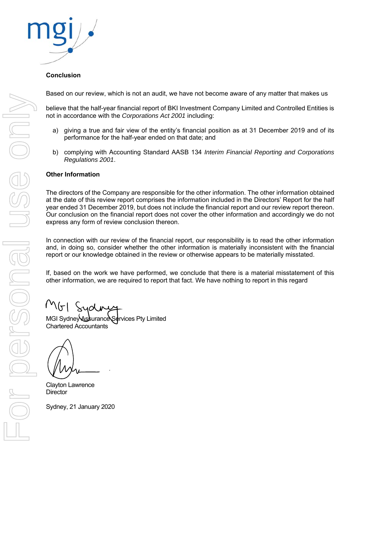

#### **Conclusion**

Based on our review, which is not an audit, we have not become aware of any matter that makes us

believe that the half-year financial report of BKI Investment Company Limited and Controlled Entities is not in accordance with the *Corporations Act 2001* including:

- a) giving a true and fair view of the entity's financial position as at 31 December 2019 and of its performance for the half-year ended on that date; and
- b) complying with Accounting Standard AASB 134 *Interim Financial Reporting and Corporations Regulations 2001*.

#### **Other Information**

The directors of the Company are responsible for the other information. The other information obtained at the date of this review report comprises the information included in the Directors' Report for the half year ended 31 December 2019, but does not include the financial report and our review report thereon. Our conclusion on the financial report does not cover the other information and accordingly we do not express any form of review conclusion thereon.

In connection with our review of the financial report, our responsibility is to read the other information and, in doing so, consider whether the other information is materially inconsistent with the financial report or our knowledge obtained in the review or otherwise appears to be materially misstated.

If, based on the work we have performed, we conclude that there is a material misstatement of this other information, we are required to report that fact. We have nothing to report in this regard

ridni

MGI Sydney Assurance Services Pty Limited Chartered Accountants

Clayton Lawrence **Director** 

Sydney, 21 January 2020